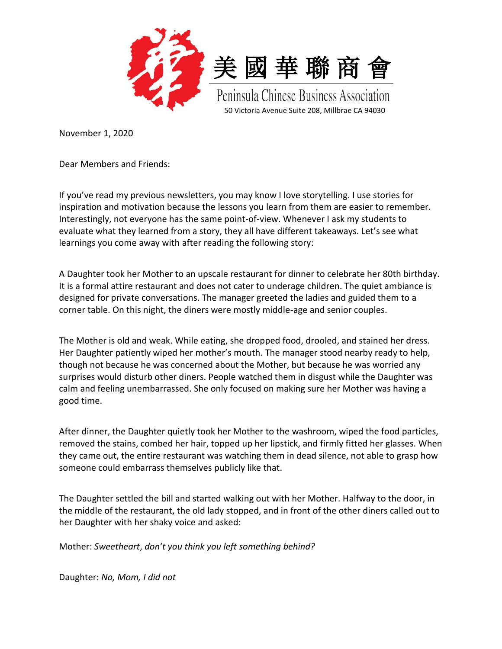



Peninsula Chinese Business Association 50 Victoria Avenue Suite 208, Millbrae CA 94030

November 1, 2020

Dear Members and Friends:

If you've read my previous newsletters, you may know I love storytelling. I use stories for inspiration and motivation because the lessons you learn from them are easier to remember. Interestingly, not everyone has the same point-of-view. Whenever I ask my students to evaluate what they learned from a story, they all have different takeaways. Let's see what learnings you come away with after reading the following story:

A Daughter took her Mother to an upscale restaurant for dinner to celebrate her 80th birthday. It is a formal attire restaurant and does not cater to underage children. The quiet ambiance is designed for private conversations. The manager greeted the ladies and guided them to a corner table. On this night, the diners were mostly middle-age and senior couples.

The Mother is old and weak. While eating, she dropped food, drooled, and stained her dress. Her Daughter patiently wiped her mother's mouth. The manager stood nearby ready to help, though not because he was concerned about the Mother, but because he was worried any surprises would disturb other diners. People watched them in disgust while the Daughter was calm and feeling unembarrassed. She only focused on making sure her Mother was having a good time.

After dinner, the Daughter quietly took her Mother to the washroom, wiped the food particles, removed the stains, combed her hair, topped up her lipstick, and firmly fitted her glasses. When they came out, the entire restaurant was watching them in dead silence, not able to grasp how someone could embarrass themselves publicly like that.

The Daughter settled the bill and started walking out with her Mother. Halfway to the door, in the middle of the restaurant, the old lady stopped, and in front of the other diners called out to her Daughter with her shaky voice and asked:

Mother: *Sweetheart*, *don't you think you left something behind?*

Daughter: *No, Mom, I did not*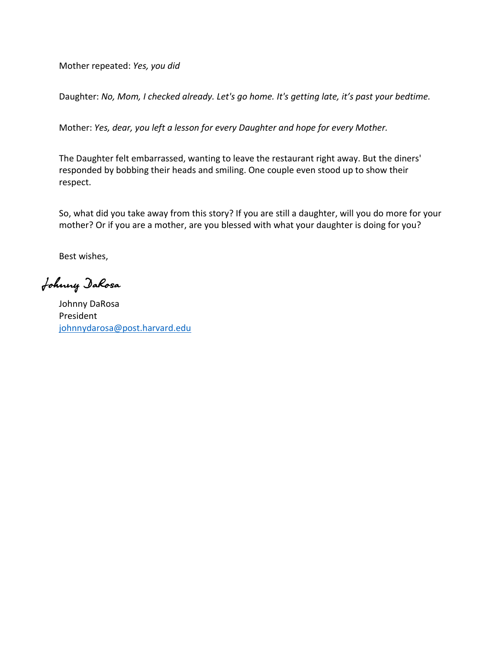Mother repeated: *Yes, you did*

Daughter: *No, Mom, I checked already. Let's go home. It's getting late, it's past your bedtime.*

Mother: *Yes, dear, you left a lesson for every Daughter and hope for every Mother.*

The Daughter felt embarrassed, wanting to leave the restaurant right away. But the diners' responded by bobbing their heads and smiling. One couple even stood up to show their respect.

So, what did you take away from this story? If you are still a daughter, will you do more for your mother? Or if you are a mother, are you blessed with what your daughter is doing for you?

Best wishes,

Johnny DaRosa

Johnny DaRosa President [johnnydarosa@post.harvard.edu](mailto:johnnydarosa@post.harvard.edu)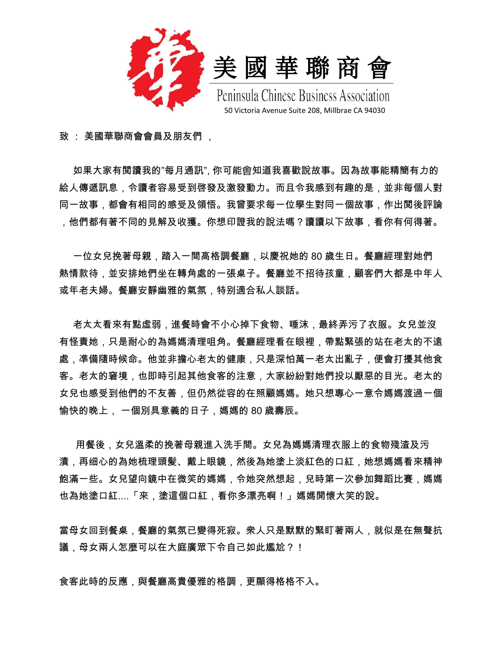



Peninsula Chinese Business Association 50 Victoria Avenue Suite 208, Millbrae CA 94030

致 : 美國華聯商會會員及朋友們 ,

如果大家有閲讀我的"每月通訊", 你可能會知道我喜歡說故事。因為故事能精簡有力的 給人傳遞訊息,令讀者容易受到啓發及激發動力。而且令我感到有趣的是,並非每個人對 同一故事,都會有相同的感受及領悟。我曾要求每一位學生對同一個故事,作出閲後評論 ,他們都有著不同的見解及收獲。你想印證我的說法嗎?讀讀以下故事,看你有何得著。

 一位女兒挽著母親,踏入一間高格調餐廳,以慶祝她的 80 歲生日。餐廳經理對她們 熱情款待,並安排她們坐在轉角處的一張桌子。餐廳並不招待孩童,顧客們大都是中年人 或年老夫婦。餐廳安靜幽雅的氣氛,特别適合私人談話。

老太太看來有點虛弱,進餐時會不小心掉下食物、唾沫,最終弄污了衣服。女兒並沒 有怪責她,只是耐心的為媽媽清理咀角。餐廳經理看在眼裡,帶點緊張的站在老太的不遠 處,凖備隨時候命。他並非擔心老太的健康,只是深怕萬一老太出亂子,便會打擾其他食 客。老太的窘境,也即時引起其他食客的注意,大家紛紛對她們投以厭惡的目光。老太的 女兒也感受到他們的不友善,但仍然從容的在照顧媽媽。她只想專心一意令媽媽渡過一個 愉快的晚上, 一個別具意義的日子,媽媽的 80 歲壽辰。

用餐後,女兒溫柔的挽著母親進入洗手間。女兒為媽媽清理衣服上的食物殘渣及污 漬,再细心的為她梳理頭髪、戴上眼鏡,然後為她塗上淡紅色的口紅,她想媽媽看來精神 飽滿一些。女兒望向鏡中在微笑的媽媽,令她突然想起,兒時第一次參加舞蹈比賽,媽媽 也為她塗口紅....「來,塗這個口紅,看你多漂亮啊!」媽媽開懷大笑的說。

當母女回到餐桌,餐廳的氣氛已變得死寂。衆人只是默默的緊盯著兩人,就似是在無聲抗 議,母女兩人怎麼可以在大庭廣眾下令自己如此尷尬?!

食客此時的反應,與餐廳高貴優雅的格調,更顯得格格不入。